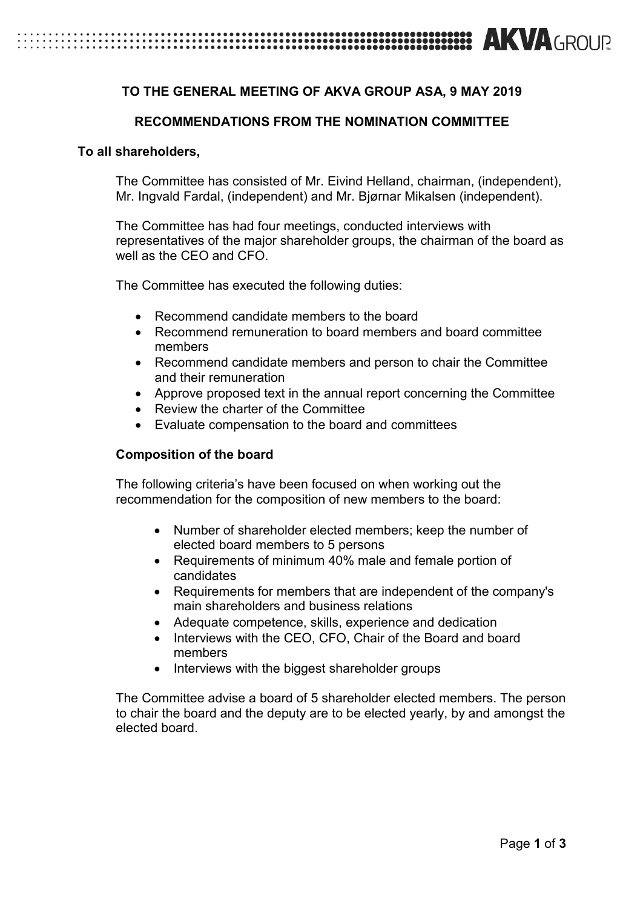# **EXAMPLE TO A ROUR SERVICE CONTROLLED A ROUR AND A GROUR**

## **TO THE GENERAL MEETING OF AKVA GROUP ASA, 9 MAY 2019**

## **RECOMMENDATIONS FROM THE NOMINATION COMMITTEE**

### **To all shareholders,**

The Committee has consisted of Mr. Eivind Helland, chairman, (independent), Mr. Ingvald Fardal, (independent) and Mr. Bjørnar Mikalsen (independent).

The Committee has had four meetings, conducted interviews with representatives of the major shareholder groups, the chairman of the board as well as the CEO and CFO.

The Committee has executed the following duties:

- Recommend candidate members to the board
- Recommend remuneration to board members and board committee members
- Recommend candidate members and person to chair the Committee and their remuneration
- Approve proposed text in the annual report concerning the Committee
- Review the charter of the Committee
- Evaluate compensation to the board and committees

## **Composition of the board**

The following criteria's have been focused on when working out the recommendation for the composition of new members to the board:

- Number of shareholder elected members; keep the number of elected board members to 5 persons
- Requirements of minimum 40% male and female portion of candidates
- Requirements for members that are independent of the company's main shareholders and business relations
- Adequate competence, skills, experience and dedication
- Interviews with the CEO, CFO, Chair of the Board and board members
- Interviews with the biggest shareholder groups

The Committee advise a board of 5 shareholder elected members. The person to chair the board and the deputy are to be elected yearly, by and amongst the elected board.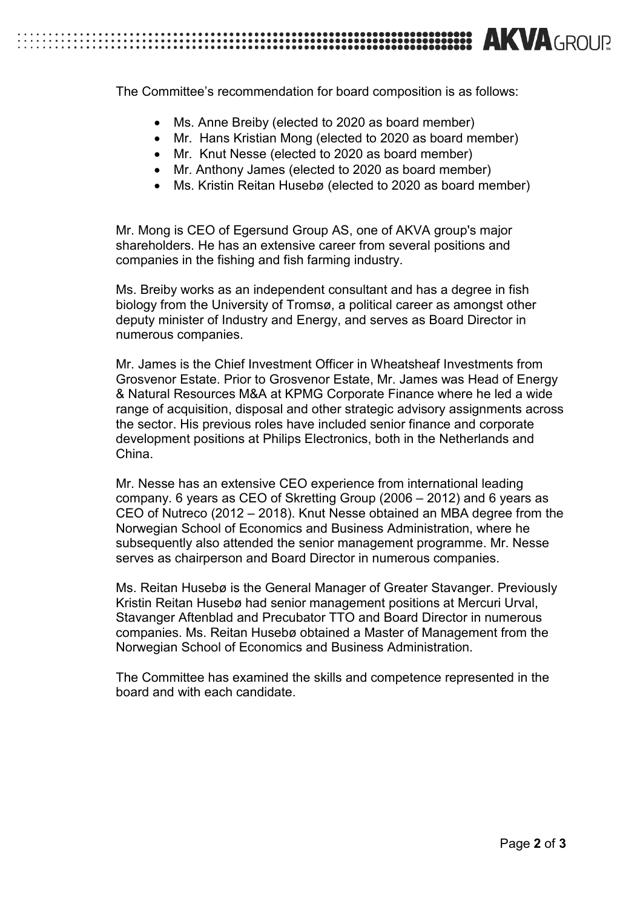# **AKVA**GROUR

The Committee's recommendation for board composition is as follows:

- Ms. Anne Breiby (elected to 2020 as board member)
- Mr. Hans Kristian Mong (elected to 2020 as board member)
- Mr. Knut Nesse (elected to 2020 as board member)
- Mr. Anthony James (elected to 2020 as board member)
- Ms. Kristin Reitan Husebø (elected to 2020 as board member)

Mr. Mong is CEO of Egersund Group AS, one of AKVA group's major shareholders. He has an extensive career from several positions and companies in the fishing and fish farming industry.

Ms. Breiby works as an independent consultant and has a degree in fish biology from the University of Tromsø, a political career as amongst other deputy minister of Industry and Energy, and serves as Board Director in numerous companies.

Mr. James is the Chief Investment Officer in Wheatsheaf Investments from Grosvenor Estate. Prior to Grosvenor Estate, Mr. James was Head of Energy & Natural Resources M&A at KPMG Corporate Finance where he led a wide range of acquisition, disposal and other strategic advisory assignments across the sector. His previous roles have included senior finance and corporate development positions at Philips Electronics, both in the Netherlands and China.

Mr. Nesse has an extensive CEO experience from international leading company. 6 years as CEO of Skretting Group (2006 – 2012) and 6 years as CEO of Nutreco (2012 – 2018). Knut Nesse obtained an MBA degree from the Norwegian School of Economics and Business Administration, where he subsequently also attended the senior management programme. Mr. Nesse serves as chairperson and Board Director in numerous companies.

Ms. Reitan Husebø is the General Manager of Greater Stavanger. Previously Kristin Reitan Husebø had senior management positions at Mercuri Urval, Stavanger Aftenblad and Precubator TTO and Board Director in numerous companies. Ms. Reitan Husebø obtained a Master of Management from the Norwegian School of Economics and Business Administration.

The Committee has examined the skills and competence represented in the board and with each candidate.